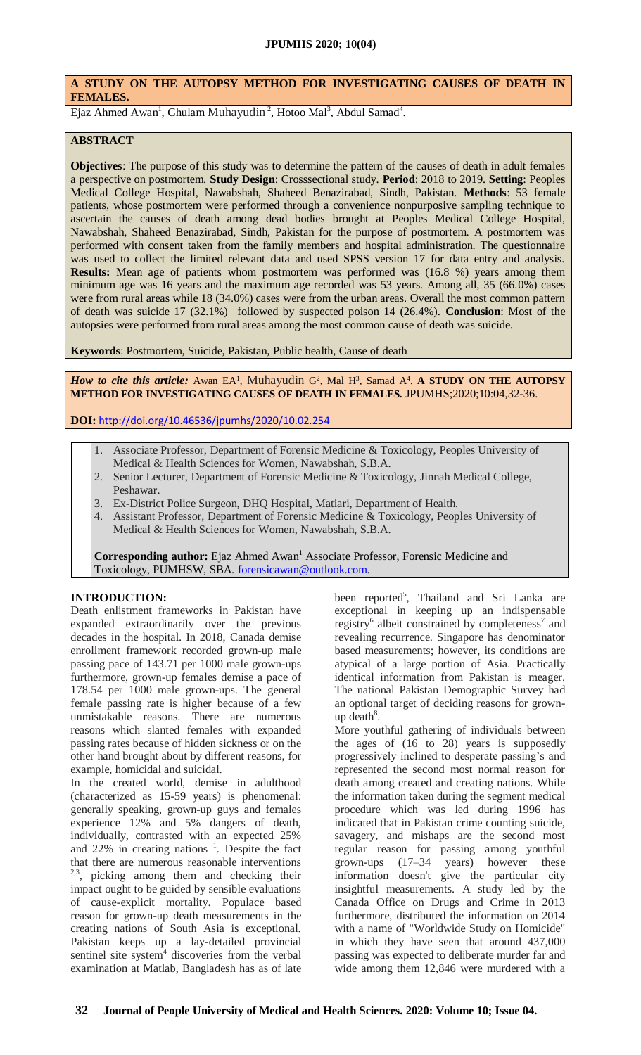# **A STUDY ON THE AUTOPSY METHOD FOR INVESTIGATING CAUSES OF DEATH IN FEMALES.**

Ejaz Ahmed Awan<sup>1</sup>, Ghulam Muhayudin<sup>2</sup>, Hotoo Mal<sup>3</sup>, Abdul Samad<sup>4</sup>.

#### **ABSTRACT**

**Objectives**: The purpose of this study was to determine the pattern of the causes of death in adult females a perspective on postmortem. **Study Design**: Crosssectional study. **Period**: 2018 to 2019. **Setting**: Peoples Medical College Hospital, Nawabshah, Shaheed Benazirabad, Sindh, Pakistan. **Methods**: 53 female patients, whose postmortem were performed through a convenience nonpurposive sampling technique to ascertain the causes of death among dead bodies brought at Peoples Medical College Hospital, Nawabshah, Shaheed Benazirabad, Sindh, Pakistan for the purpose of postmortem. A postmortem was performed with consent taken from the family members and hospital administration. The questionnaire was used to collect the limited relevant data and used SPSS version 17 for data entry and analysis. **Results:** Mean age of patients whom postmortem was performed was (16.8 %) years among them minimum age was 16 years and the maximum age recorded was 53 years. Among all, 35 (66.0%) cases were from rural areas while 18 (34.0%) cases were from the urban areas. Overall the most common pattern of death was suicide 17 (32.1%) followed by suspected poison 14 (26.4%). **Conclusion**: Most of the autopsies were performed from rural areas among the most common cause of death was suicide.

**Keywords**: Postmortem, Suicide, Pakistan, Public health, Cause of death

How to cite this article: Awan EA<sup>1</sup>, Muhayudin G<sup>2</sup>, Mal H<sup>3</sup>, Samad A<sup>4</sup>. A STUDY ON THE AUTOPSY **METHOD FOR INVESTIGATING CAUSES OF DEATH IN FEMALES.** JPUMHS;2020;10:04,32-36.

**DOI:** <http://doi.org/10.46536/jpumhs/2020/10.02.254>

- 1. Associate Professor, Department of Forensic Medicine & Toxicology, Peoples University of Medical & Health Sciences for Women, Nawabshah, S.B.A.
- 2. Senior Lecturer, Department of Forensic Medicine & Toxicology, Jinnah Medical College, Peshawar.
- 3. Ex-District Police Surgeon, DHQ Hospital, Matiari, Department of Health.
- 4. Assistant Professor, Department of Forensic Medicine & Toxicology, Peoples University of Medical & Health Sciences for Women, Nawabshah, S.B.A.

**Corresponding author:** Ejaz Ahmed Awan<sup>1</sup> Associate Professor, Forensic Medicine and Toxicology, PUMHSW, SBA. [forensicawan@outlook.com.](mailto:forensicawan@outlook.com)

#### **INTRODUCTION:**

Death enlistment frameworks in Pakistan have expanded extraordinarily over the previous decades in the hospital. In 2018, Canada demise enrollment framework recorded grown-up male passing pace of 143.71 per 1000 male grown-ups furthermore, grown-up females demise a pace of 178.54 per 1000 male grown-ups. The general female passing rate is higher because of a few unmistakable reasons. There are numerous reasons which slanted females with expanded passing rates because of hidden sickness or on the other hand brought about by different reasons, for example, homicidal and suicidal.

In the created world, demise in adulthood (characterized as 15-59 years) is phenomenal: generally speaking, grown-up guys and females experience 12% and 5% dangers of death, individually, contrasted with an expected 25% and  $22\%$  in creating nations  $\frac{1}{1}$ . Despite the fact that there are numerous reasonable interventions  $2,3$ , picking among them and checking their impact ought to be guided by sensible evaluations of cause-explicit mortality. Populace based reason for grown-up death measurements in the creating nations of South Asia is exceptional. Pakistan keeps up a lay-detailed provincial sentinel site system<sup>4</sup> discoveries from the verbal examination at Matlab, Bangladesh has as of late

been reported<sup>5</sup>, Thailand and Sri Lanka are exceptional in keeping up an indispensable registry<sup>6</sup> albeit constrained by completeness<sup>7</sup> and revealing recurrence. Singapore has denominator based measurements; however, its conditions are atypical of a large portion of Asia. Practically identical information from Pakistan is meager. The national Pakistan Demographic Survey had an optional target of deciding reasons for grown $up$  death<sup>8</sup>.

More youthful gathering of individuals between the ages of (16 to 28) years is supposedly progressively inclined to desperate passing's and represented the second most normal reason for death among created and creating nations. While the information taken during the segment medical procedure which was led during 1996 has indicated that in Pakistan crime counting suicide, savagery, and mishaps are the second most regular reason for passing among youthful grown-ups (17–34 years) however these information doesn't give the particular city insightful measurements. A study led by the Canada Office on Drugs and Crime in 2013 furthermore, distributed the information on 2014 with a name of "Worldwide Study on Homicide" in which they have seen that around 437,000 passing was expected to deliberate murder far and wide among them 12,846 were murdered with a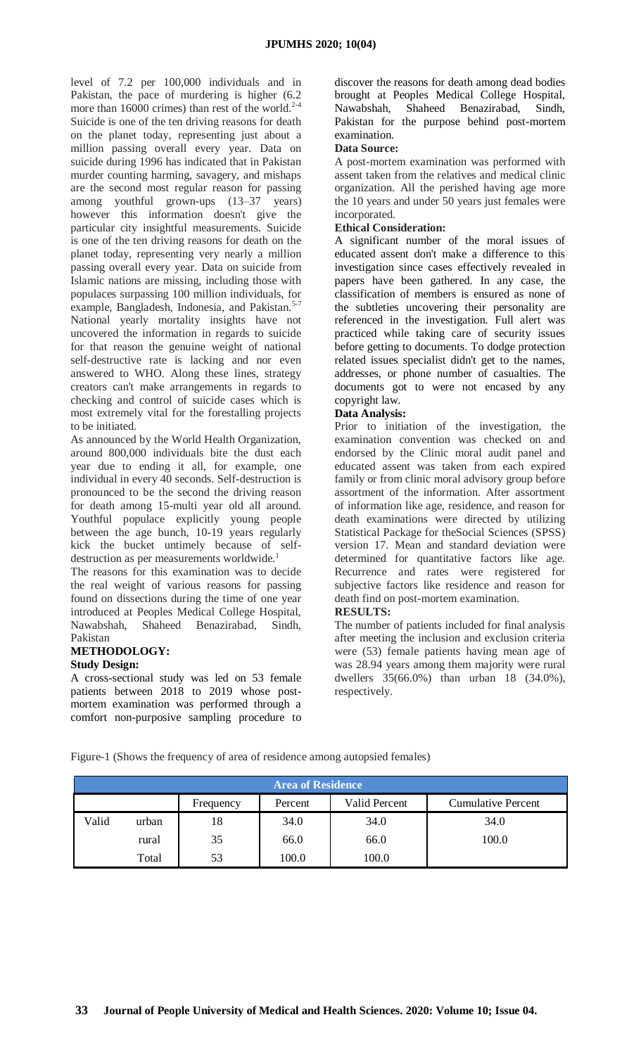level of 7.2 per 100,000 individuals and in Pakistan, the pace of murdering is higher (6.2 more than 16000 crimes) than rest of the world. $2-4$ Suicide is one of the ten driving reasons for death on the planet today, representing just about a million passing overall every year. Data on suicide during 1996 has indicated that in Pakistan murder counting harming, savagery, and mishaps are the second most regular reason for passing among youthful grown-ups (13–37 years) however this information doesn't give the particular city insightful measurements. Suicide is one of the ten driving reasons for death on the planet today, representing very nearly a million passing overall every year. Data on suicide from Islamic nations are missing, including those with populaces surpassing 100 million individuals, for example, Bangladesh, Indonesia, and Pakistan.<sup>5-7</sup> National yearly mortality insights have not uncovered the information in regards to suicide for that reason the genuine weight of national self-destructive rate is lacking and nor even answered to WHO. Along these lines, strategy creators can't make arrangements in regards to checking and control of suicide cases which is most extremely vital for the forestalling projects to be initiated.

As announced by the World Health Organization, around 800,000 individuals bite the dust each year due to ending it all, for example, one individual in every 40 seconds. Self-destruction is pronounced to be the second the driving reason for death among 15-multi year old all around. Youthful populace explicitly young people between the age bunch, 10-19 years regularly kick the bucket untimely because of selfdestruction as per measurements worldwide.<sup>1</sup>

The reasons for this examination was to decide the real weight of various reasons for passing found on dissections during the time of one year introduced at Peoples Medical College Hospital, Nawabshah, Shaheed Benazirabad, Sindh, Pakistan

# **METHODOLOGY:**

# **Study Design:**

A cross-sectional study was led on 53 female patients between 2018 to 2019 whose postmortem examination was performed through a comfort non-purposive sampling procedure to discover the reasons for death among dead bodies brought at Peoples Medical College Hospital, Nawabshah, Shaheed Benazirabad, Sindh, Pakistan for the purpose behind post-mortem examination.

## **Data Source:**

A post-mortem examination was performed with assent taken from the relatives and medical clinic organization. All the perished having age more the 10 years and under 50 years just females were incorporated.

## **Ethical Consideration:**

A significant number of the moral issues of educated assent don't make a difference to this investigation since cases effectively revealed in papers have been gathered. In any case, the classification of members is ensured as none of the subtleties uncovering their personality are referenced in the investigation. Full alert was practiced while taking care of security issues before getting to documents. To dodge protection related issues specialist didn't get to the names, addresses, or phone number of casualties. The documents got to were not encased by any copyright law.

## **Data Analysis:**

Prior to initiation of the investigation, the examination convention was checked on and endorsed by the Clinic moral audit panel and educated assent was taken from each expired family or from clinic moral advisory group before assortment of the information. After assortment of information like age, residence, and reason for death examinations were directed by utilizing Statistical Package for theSocial Sciences (SPSS) version 17. Mean and standard deviation were determined for quantitative factors like age. Recurrence and rates were registered for subjective factors like residence and reason for death find on post-mortem examination.

#### **RESULTS:**

The number of patients included for final analysis after meeting the inclusion and exclusion criteria were (53) female patients having mean age of was 28.94 years among them majority were rural dwellers 35(66.0%) than urban 18 (34.0%), respectively.

Figure-1 (Shows the frequency of area of residence among autopsied females)

| <b>Area of Residence</b> |       |           |         |               |                           |  |  |  |  |
|--------------------------|-------|-----------|---------|---------------|---------------------------|--|--|--|--|
|                          |       | Frequency | Percent | Valid Percent | <b>Cumulative Percent</b> |  |  |  |  |
| Valid                    | urban | 18        | 34.0    | 34.0          | 34.0                      |  |  |  |  |
|                          | rural | 35        | 66.0    | 66.0          | 100.0                     |  |  |  |  |
|                          | Total | 53        | 100.0   | 100.0         |                           |  |  |  |  |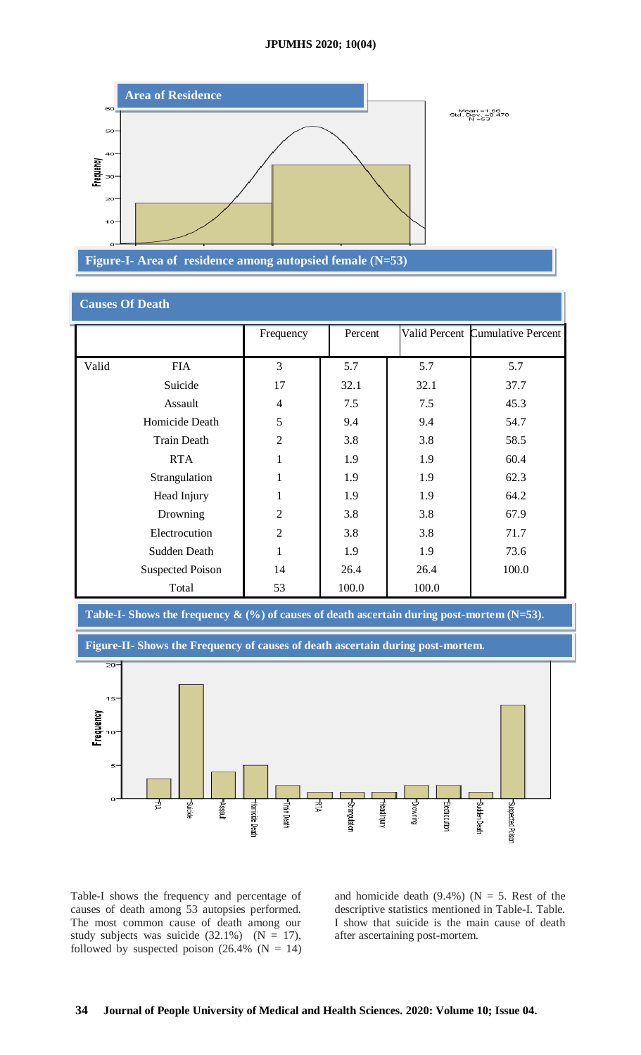

| <b>Causes Of Death</b>  |                |         |       |                                  |  |  |  |
|-------------------------|----------------|---------|-------|----------------------------------|--|--|--|
|                         | Frequency      | Percent |       | Valid Percent Cumulative Percent |  |  |  |
|                         |                |         |       |                                  |  |  |  |
| Valid<br><b>FIA</b>     | 3              | 5.7     | 5.7   | 5.7                              |  |  |  |
| Suicide                 | 17             | 32.1    | 32.1  | 37.7                             |  |  |  |
| Assault                 | $\overline{4}$ | 7.5     | 7.5   | 45.3                             |  |  |  |
| Homicide Death          | 5              | 9.4     | 9.4   | 54.7                             |  |  |  |
| <b>Train Death</b>      | $\overline{2}$ | 3.8     | 3.8   | 58.5                             |  |  |  |
| <b>RTA</b>              | $\mathbf{1}$   | 1.9     | 1.9   | 60.4                             |  |  |  |
| Strangulation           | 1              | 1.9     | 1.9   | 62.3                             |  |  |  |
| Head Injury             | $\mathbf{1}$   | 1.9     | 1.9   | 64.2                             |  |  |  |
| Drowning                | $\overline{2}$ | 3.8     | 3.8   | 67.9                             |  |  |  |
| Electrocution           | $\overline{2}$ | 3.8     | 3.8   | 71.7                             |  |  |  |
| Sudden Death            | $\mathbf{1}$   | 1.9     | 1.9   | 73.6                             |  |  |  |
| <b>Suspected Poison</b> | 14             | 26.4    | 26.4  | 100.0                            |  |  |  |
| Total                   | 53             | 100.0   | 100.0 |                                  |  |  |  |



Table-I shows the frequency and percentage of causes of death among 53 autopsies performed. The most common cause of death among our study subjects was suicide  $(32.1\%)$   $(N = 17)$ , followed by suspected poison  $(26.4\% \text{ (N = 14)})$ 

and homicide death (9.4%) ( $N = 5$ . Rest of the descriptive statistics mentioned in Table-I. Table. I show that suicide is the main cause of death after ascertaining post-mortem.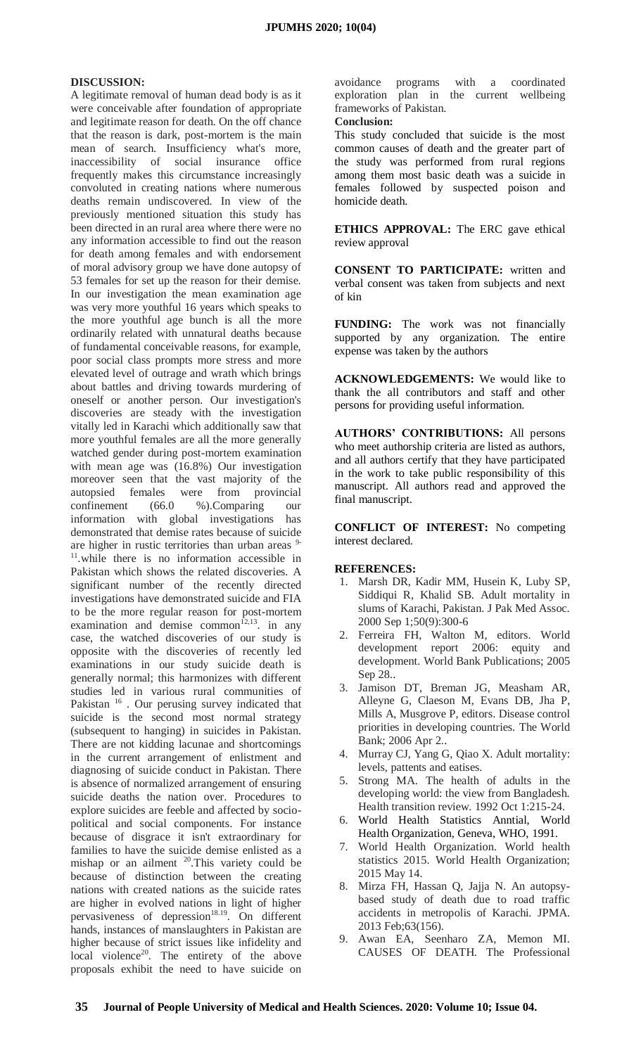#### **DISCUSSION:**

A legitimate removal of human dead body is as it were conceivable after foundation of appropriate and legitimate reason for death. On the off chance that the reason is dark, post-mortem is the main mean of search. Insufficiency what's more, inaccessibility of social insurance office frequently makes this circumstance increasingly convoluted in creating nations where numerous deaths remain undiscovered. In view of the previously mentioned situation this study has been directed in an rural area where there were no any information accessible to find out the reason for death among females and with endorsement of moral advisory group we have done autopsy of 53 females for set up the reason for their demise. In our investigation the mean examination age was very more youthful 16 years which speaks to the more youthful age bunch is all the more ordinarily related with unnatural deaths because of fundamental conceivable reasons, for example, poor social class prompts more stress and more elevated level of outrage and wrath which brings about battles and driving towards murdering of oneself or another person. Our investigation's discoveries are steady with the investigation vitally led in Karachi which additionally saw that more youthful females are all the more generally watched gender during post-mortem examination with mean age was (16.8%) Our investigation moreover seen that the vast majority of the autopsied females were from provincial confinement (66.0 %).Comparing our information with global investigations has demonstrated that demise rates because of suicide are higher in rustic territories than urban areas <sup>9-</sup> <sup>11</sup>.while there is no information accessible in Pakistan which shows the related discoveries. A significant number of the recently directed investigations have demonstrated suicide and FIA to be the more regular reason for post-mortem examination and demise common<sup>12,13</sup>. in any case, the watched discoveries of our study is opposite with the discoveries of recently led examinations in our study suicide death is generally normal; this harmonizes with different studies led in various rural communities of Pakistan<sup>16</sup>. Our perusing survey indicated that suicide is the second most normal strategy (subsequent to hanging) in suicides in Pakistan. There are not kidding lacunae and shortcomings in the current arrangement of enlistment and diagnosing of suicide conduct in Pakistan. There is absence of normalized arrangement of ensuring suicide deaths the nation over. Procedures to explore suicides are feeble and affected by sociopolitical and social components. For instance because of disgrace it isn't extraordinary for families to have the suicide demise enlisted as a mishap or an ailment  $20$ . This variety could be because of distinction between the creating nations with created nations as the suicide rates are higher in evolved nations in light of higher pervasiveness of depression<sup>18.19</sup>. On different hands, instances of manslaughters in Pakistan are higher because of strict issues like infidelity and  $local$  violence<sup>20</sup>. The entirety of the above proposals exhibit the need to have suicide on

avoidance programs with a coordinated exploration plan in the current wellbeing frameworks of Pakistan.

#### **Conclusion:**

This study concluded that suicide is the most common causes of death and the greater part of the study was performed from rural regions among them most basic death was a suicide in females followed by suspected poison and homicide death.

**ETHICS APPROVAL:** The ERC gave ethical review approval

**CONSENT TO PARTICIPATE:** written and verbal consent was taken from subjects and next of kin

**FUNDING:** The work was not financially supported by any organization. The entire expense was taken by the authors

**ACKNOWLEDGEMENTS:** We would like to thank the all contributors and staff and other persons for providing useful information.

**AUTHORS' CONTRIBUTIONS:** All persons who meet authorship criteria are listed as authors, and all authors certify that they have participated in the work to take public responsibility of this manuscript. All authors read and approved the final manuscript.

**CONFLICT OF INTEREST:** No competing interest declared.

#### **REFERENCES:**

- 1. Marsh DR, Kadir MM, Husein K, Luby SP, Siddiqui R, Khalid SB. Adult mortality in slums of Karachi, Pakistan. J Pak Med Assoc. 2000 Sep 1;50(9):300-6
- 2. Ferreira FH, Walton M, editors. World development report 2006: equity and development. World Bank Publications; 2005 Sep 28..
- 3. Jamison DT, Breman JG, Measham AR, Alleyne G, Claeson M, Evans DB, Jha P, Mills A, Musgrove P, editors. Disease control priorities in developing countries. The World Bank; 2006 Apr 2..
- 4. Murray CJ, Yang G, Qiao X. Adult mortality: levels, pattents and eatises.
- 5. Strong MA. The health of adults in the developing world: the view from Bangladesh. Health transition review. 1992 Oct 1:215-24.
- 6. World Health Statistics Anntial, World Health Organization, Geneva, WHO, 1991.
- 7. World Health Organization. World health statistics 2015. World Health Organization; 2015 May 14.
- 8. Mirza FH, Hassan Q, Jajja N. An autopsybased study of death due to road traffic accidents in metropolis of Karachi. JPMA. 2013 Feb;63(156).
- 9. Awan EA, Seenharo ZA, Memon MI. CAUSES OF DEATH. The Professional